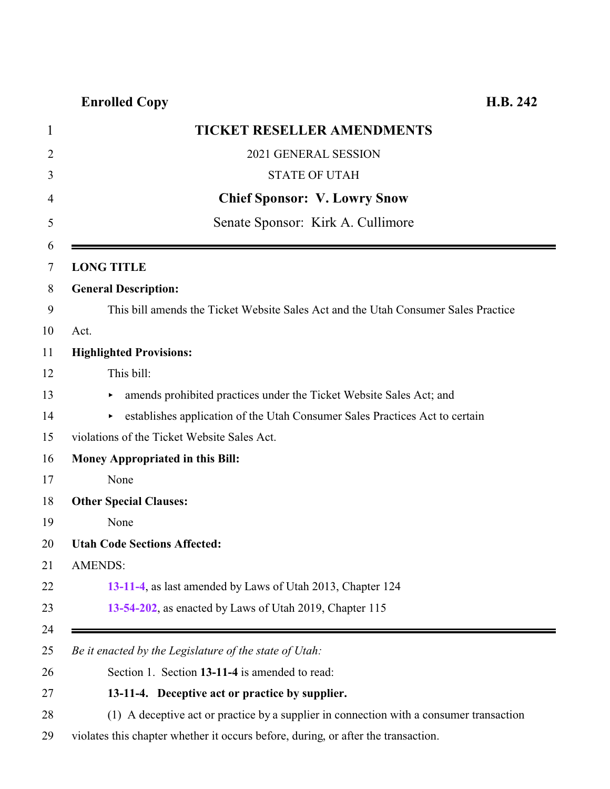| <b>TICKET RESELLER AMENDMENTS</b>                                                       |
|-----------------------------------------------------------------------------------------|
| 2021 GENERAL SESSION                                                                    |
| <b>STATE OF UTAH</b>                                                                    |
| <b>Chief Sponsor: V. Lowry Snow</b>                                                     |
| Senate Sponsor: Kirk A. Cullimore                                                       |
| <b>LONG TITLE</b>                                                                       |
| <b>General Description:</b>                                                             |
| This bill amends the Ticket Website Sales Act and the Utah Consumer Sales Practice      |
| Act.                                                                                    |
| <b>Highlighted Provisions:</b>                                                          |
| This bill:                                                                              |
| amends prohibited practices under the Ticket Website Sales Act; and<br>٠                |
| establishes application of the Utah Consumer Sales Practices Act to certain<br>▶        |
| violations of the Ticket Website Sales Act.                                             |
| <b>Money Appropriated in this Bill:</b>                                                 |
| None                                                                                    |
| <b>Other Special Clauses:</b>                                                           |
| None                                                                                    |
| <b>Utah Code Sections Affected:</b>                                                     |
| AMENDS:                                                                                 |
| 13-11-4, as last amended by Laws of Utah 2013, Chapter 124                              |
| 13-54-202, as enacted by Laws of Utah 2019, Chapter 115                                 |
| Be it enacted by the Legislature of the state of Utah:                                  |
| Section 1. Section 13-11-4 is amended to read:                                          |
| 13-11-4. Deceptive act or practice by supplier.                                         |
| (1) A deceptive act or practice by a supplier in connection with a consumer transaction |

<span id="page-0-0"></span>violates this chapter whether it occurs before, during, or after the transaction.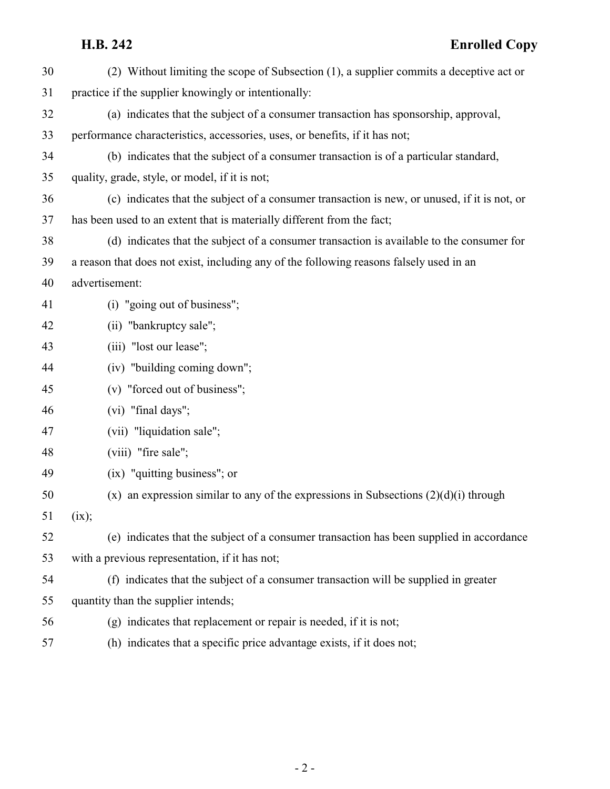# **H.B. 242 Enrolled Copy**

| 30 | (2) Without limiting the scope of Subsection (1), a supplier commits a deceptive act or      |
|----|----------------------------------------------------------------------------------------------|
| 31 | practice if the supplier knowingly or intentionally:                                         |
| 32 | (a) indicates that the subject of a consumer transaction has sponsorship, approval,          |
| 33 | performance characteristics, accessories, uses, or benefits, if it has not;                  |
| 34 | (b) indicates that the subject of a consumer transaction is of a particular standard,        |
| 35 | quality, grade, style, or model, if it is not;                                               |
| 36 | (c) indicates that the subject of a consumer transaction is new, or unused, if it is not, or |
| 37 | has been used to an extent that is materially different from the fact;                       |
| 38 | (d) indicates that the subject of a consumer transaction is available to the consumer for    |
| 39 | a reason that does not exist, including any of the following reasons falsely used in an      |
| 40 | advertisement:                                                                               |
| 41 | (i) "going out of business";                                                                 |
| 42 | (ii) "bankruptcy sale";                                                                      |
| 43 | (iii) "lost our lease";                                                                      |
| 44 | (iv) "building coming down";                                                                 |
| 45 | (v) "forced out of business";                                                                |
| 46 | (vi) "final days";                                                                           |
| 47 | (vii) "liquidation sale";                                                                    |
| 48 | (viii) "fire sale";                                                                          |
| 49 | (ix) "quitting business"; or                                                                 |
| 50 | $(x)$ an expression similar to any of the expressions in Subsections $(2)(d)(i)$ through     |
| 51 | (ix);                                                                                        |
| 52 | (e) indicates that the subject of a consumer transaction has been supplied in accordance     |
| 53 | with a previous representation, if it has not;                                               |
| 54 | (f) indicates that the subject of a consumer transaction will be supplied in greater         |
| 55 | quantity than the supplier intends;                                                          |
| 56 | $(g)$ indicates that replacement or repair is needed, if it is not;                          |
| 57 | (h) indicates that a specific price advantage exists, if it does not;                        |
|    |                                                                                              |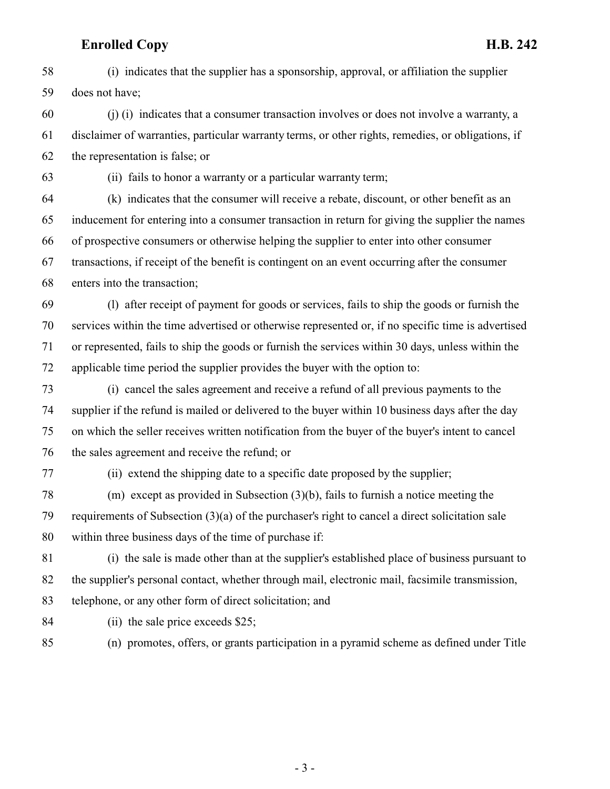(i) indicates that the supplier has a sponsorship, approval, or affiliation the supplier does not have;

 (j) (i) indicates that a consumer transaction involves or does not involve a warranty, a disclaimer of warranties, particular warranty terms, or other rights, remedies, or obligations, if the representation is false; or

(ii) fails to honor a warranty or a particular warranty term;

 (k) indicates that the consumer will receive a rebate, discount, or other benefit as an inducement for entering into a consumer transaction in return for giving the supplier the names of prospective consumers or otherwise helping the supplier to enter into other consumer transactions, if receipt of the benefit is contingent on an event occurring after the consumer enters into the transaction;

 (l) after receipt of payment for goods or services, fails to ship the goods or furnish the services within the time advertised or otherwise represented or, if no specific time is advertised or represented, fails to ship the goods or furnish the services within 30 days, unless within the applicable time period the supplier provides the buyer with the option to:

 (i) cancel the sales agreement and receive a refund of all previous payments to the supplier if the refund is mailed or delivered to the buyer within 10 business days after the day on which the seller receives written notification from the buyer of the buyer's intent to cancel the sales agreement and receive the refund; or

(ii) extend the shipping date to a specific date proposed by the supplier;

 (m) except as provided in Subsection (3)(b), fails to furnish a notice meeting the requirements of Subsection (3)(a) of the purchaser's right to cancel a direct solicitation sale within three business days of the time of purchase if:

 (i) the sale is made other than at the supplier's established place of business pursuant to the supplier's personal contact, whether through mail, electronic mail, facsimile transmission, telephone, or any other form of direct solicitation; and

(ii) the sale price exceeds \$25;

(n) promotes, offers, or grants participation in a pyramid scheme as defined under Title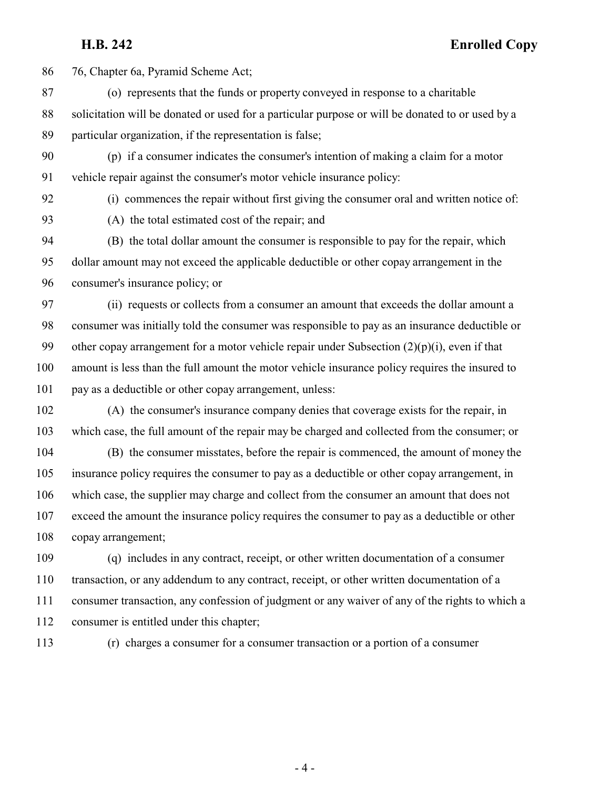**H.B. 242 Enrolled Copy**

76, Chapter 6a, Pyramid Scheme Act;

- (o) represents that the funds or property conveyed in response to a charitable solicitation will be donated or used for a particular purpose or will be donated to or used by a particular organization, if the representation is false;
- (p) if a consumer indicates the consumer's intention of making a claim for a motor vehicle repair against the consumer's motor vehicle insurance policy:
- 

(i) commences the repair without first giving the consumer oral and written notice of:

(A) the total estimated cost of the repair; and

 (B) the total dollar amount the consumer is responsible to pay for the repair, which dollar amount may not exceed the applicable deductible or other copay arrangement in the consumer's insurance policy; or

 (ii) requests or collects from a consumer an amount that exceeds the dollar amount a consumer was initially told the consumer was responsible to pay as an insurance deductible or 99 other copay arrangement for a motor vehicle repair under Subsection  $(2)(p)(i)$ , even if that amount is less than the full amount the motor vehicle insurance policy requires the insured to pay as a deductible or other copay arrangement, unless:

 (A) the consumer's insurance company denies that coverage exists for the repair, in which case, the full amount of the repair may be charged and collected from the consumer; or

 (B) the consumer misstates, before the repair is commenced, the amount of money the insurance policy requires the consumer to pay as a deductible or other copay arrangement, in which case, the supplier may charge and collect from the consumer an amount that does not exceed the amount the insurance policy requires the consumer to pay as a deductible or other copay arrangement;

 (q) includes in any contract, receipt, or other written documentation of a consumer transaction, or any addendum to any contract, receipt, or other written documentation of a consumer transaction, any confession of judgment or any waiver of any of the rights to which a consumer is entitled under this chapter;

(r) charges a consumer for a consumer transaction or a portion of a consumer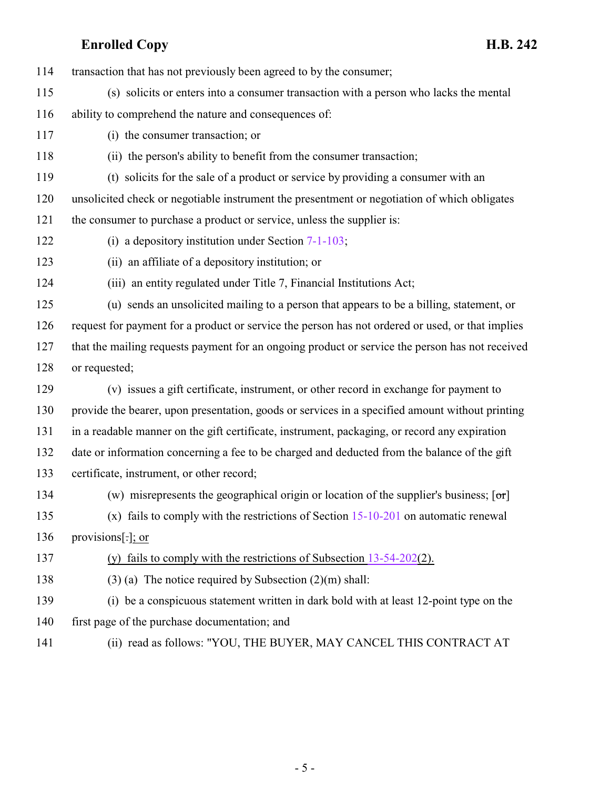transaction that has not previously been agreed to by the consumer;

- (s) solicits or enters into a consumer transaction with a person who lacks the mental
- ability to comprehend the nature and consequences of:
- (i) the consumer transaction; or
- (ii) the person's ability to benefit from the consumer transaction;
- (t) solicits for the sale of a product or service by providing a consumer with an
- unsolicited check or negotiable instrument the presentment or negotiation of which obligates the consumer to purchase a product or service, unless the supplier is:
- (i) a depository institution under Section [7-1-103](http://le.utah.gov/UtahCode/SectionLookup.jsp?section=7-1-103&session=2021GS);
- (ii) an affiliate of a depository institution; or
- (iii) an entity regulated under Title 7, Financial Institutions Act;
- (u) sends an unsolicited mailing to a person that appears to be a billing, statement, or request for payment for a product or service the person has not ordered or used, or that implies that the mailing requests payment for an ongoing product or service the person has not received or requested;
- (v) issues a gift certificate, instrument, or other record in exchange for payment to provide the bearer, upon presentation, goods or services in a specified amount without printing in a readable manner on the gift certificate, instrument, packaging, or record any expiration date or information concerning a fee to be charged and deducted from the balance of the gift certificate, instrument, or other record;
- 134 (w) misrepresents the geographical origin or location of the supplier's business;  $\lceil \sigma r \rceil$ (x) fails to comply with the restrictions of Section [15-10-201](http://le.utah.gov/UtahCode/SectionLookup.jsp?section=15-10-201&session=2021GS) on automatic renewal
- provisions[.]; or
- 
- (y) fails to comply with the restrictions of Subsection [13-54-202](#page-5-0)(2).
- (3) (a) The notice required by Subsection (2)(m) shall:
- (i) be a conspicuous statement written in dark bold with at least 12-point type on the first page of the purchase documentation; and
- 
- (ii) read as follows: "YOU, THE BUYER, MAY CANCEL THIS CONTRACT AT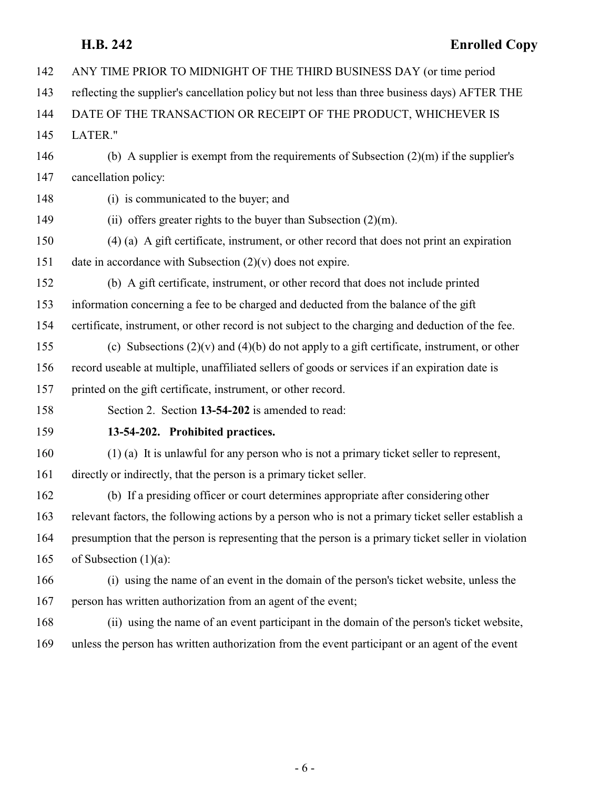| 142 | ANY TIME PRIOR TO MIDNIGHT OF THE THIRD BUSINESS DAY (or time period                                |
|-----|-----------------------------------------------------------------------------------------------------|
| 143 | reflecting the supplier's cancellation policy but not less than three business days) AFTER THE      |
| 144 | DATE OF THE TRANSACTION OR RECEIPT OF THE PRODUCT, WHICHEVER IS                                     |
| 145 | <b>LATER."</b>                                                                                      |
| 146 | (b) A supplier is exempt from the requirements of Subsection $(2)(m)$ if the supplier's             |
| 147 | cancellation policy:                                                                                |
| 148 | (i) is communicated to the buyer; and                                                               |
| 149 | (ii) offers greater rights to the buyer than Subsection $(2)(m)$ .                                  |
| 150 | (4) (a) A gift certificate, instrument, or other record that does not print an expiration           |
| 151 | date in accordance with Subsection $(2)(v)$ does not expire.                                        |
| 152 | (b) A gift certificate, instrument, or other record that does not include printed                   |
| 153 | information concerning a fee to be charged and deducted from the balance of the gift                |
| 154 | certificate, instrument, or other record is not subject to the charging and deduction of the fee.   |
| 155 | (c) Subsections $(2)(v)$ and $(4)(b)$ do not apply to a gift certificate, instrument, or other      |
| 156 | record useable at multiple, unaffiliated sellers of goods or services if an expiration date is      |
| 157 | printed on the gift certificate, instrument, or other record.                                       |
| 158 | Section 2. Section 13-54-202 is amended to read:                                                    |
| 159 | 13-54-202. Prohibited practices.                                                                    |
| 160 | $(1)$ (a) It is unlawful for any person who is not a primary ticket seller to represent,            |
| 161 | directly or indirectly, that the person is a primary ticket seller.                                 |
| 162 | (b) If a presiding officer or court determines appropriate after considering other                  |
| 163 | relevant factors, the following actions by a person who is not a primary ticket seller establish a  |
| 164 | presumption that the person is representing that the person is a primary ticket seller in violation |
| 165 | of Subsection $(1)(a)$ :                                                                            |
| 166 | (i) using the name of an event in the domain of the person's ticket website, unless the             |
| 167 | person has written authorization from an agent of the event;                                        |
| 168 | (ii) using the name of an event participant in the domain of the person's ticket website,           |

<span id="page-5-0"></span>unless the person has written authorization from the event participant or an agent of the event